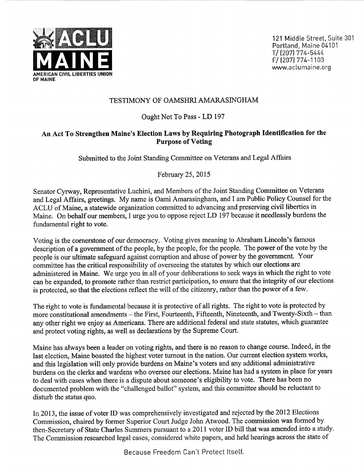

## TESTIMONY OF OAMSHRI AMARASINGHAM

## Ought Not To Pass - LD <sup>197</sup>

## An Act To Strengthen Maine's Election Laws by Requiring Photograph Identification for the Purpose of Voting

Submitted to the Joint Standing Committee on Veterans and Legal Affairs

February 25, 2015

Senator Cyrway, Representative Luchini, and Members of the Joint Standing Committee on Veterans and Legal Affairs, greetings. My name is Oami Amarasingham, and I am Public Policy Counsel for the ACLU of Maine, a statewide organization committed to advancing and preserving civil liberties in Maine. On behalf our members, I urge you to oppose reject LD 197 because it needlessly burdens the fundamental right to vote.

Voting is the cornerstone of our democracy. Voting gives meaning to Abraham Lincoln's famous description of a government of the people, by the people, for the people. The power of the vote by the people is our ultimate safeguard against corruption and abuse of power by the government. Your committee has the critical responsibility of overseeing the statutes by which our elections are administered in Maine. We urge you in all of your deliberations to seek ways in which the right to vote can be expanded, to promote rather than restrict participation, to ensure that the integrity of our elections is protected, so that the elections reflect the will of the citizenry, rather than the power of a few.

The right to vote is fundamental because it is protective of all rights. The right to vote is protected by more constitutional amendments - the First, Fourteenth, Fifteenth, Nineteenth, and Twenty-Sixth - than any other right we enjoy as Americans. There are additional federal and state statutes, which guarantee and protect voting rights, as well as declarations by the Supreme Court.

Maine has always been a leader on voting rights, and there is no reason to change course. Indeed, in the last election, Maine boasted the highest voter tumout in the nation. Our current election system works, and this legislation will only provide burdens on Maine's voters and any additional administrative burdens on the clerks and wardens who oversee our elections. Maine has had a system in place for years to deal with cases when there is a dispute about someone's eligibility to vote. There has been no documented problem with the "challenged ballot" system, and this committee should be reluctant to disturb the status quo.

In 2013, the issue of voter ID was comprehensively investigated and rejected by the 2012 Elections Commission, chaired by former Superior Court Judge John Atwood. The commission was formed by then-Secretary of State Charles Summers pursuant to a 2011 voter ID bill that was amended into a study. The Commission researched legal cases, considered white papers, and held hearings across the state of

Because Freedom Can't Protect Itself.